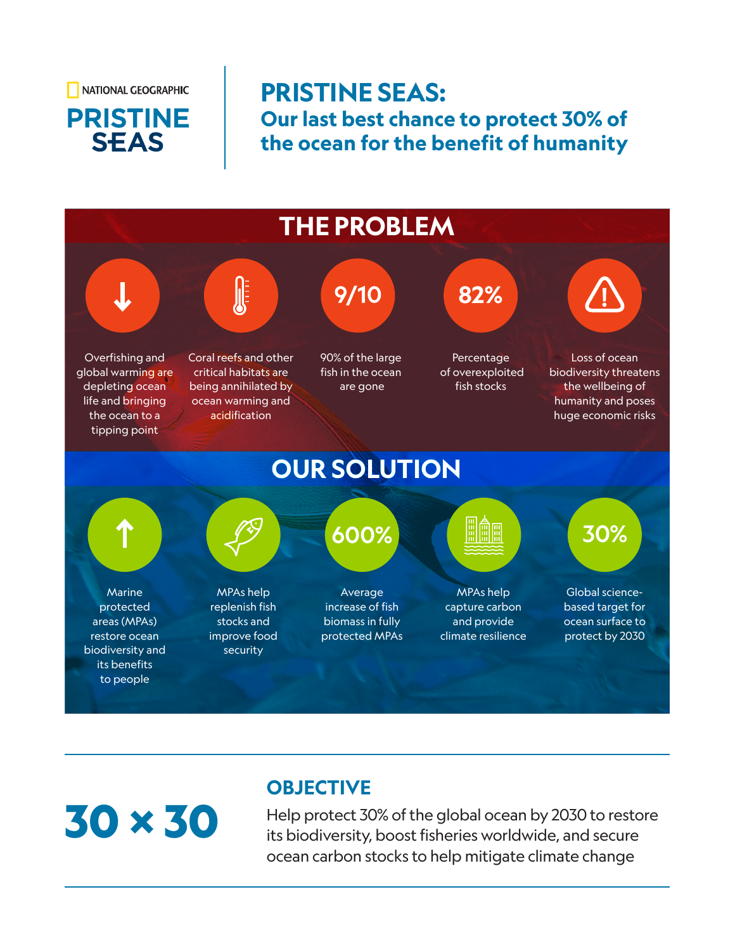NATIONAL GEOGRAPHIC

## **PRISTINE SEAS**

### **PRISTINE SEAS: Our last best chance to protect 30% of the ocean for the benefit of humanity**



# 30 X 30

#### **OBJECTIVE**

Help protect 30% of the global ocean by 2030 to restore its biodiversity, boost fisheries worldwide, and secure ocean carbon stocks to help mitigate climate change